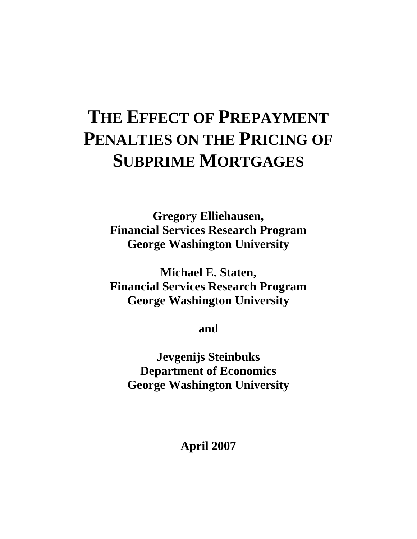# **THE EFFECT OF PREPAYMENT PENALTIES ON THE PRICING OF SUBPRIME MORTGAGES**

**Gregory Elliehausen, Financial Services Research Program George Washington University** 

**Michael E. Staten, Financial Services Research Program George Washington University** 

**and** 

**Jevgenijs Steinbuks Department of Economics George Washington University**

**April 2007**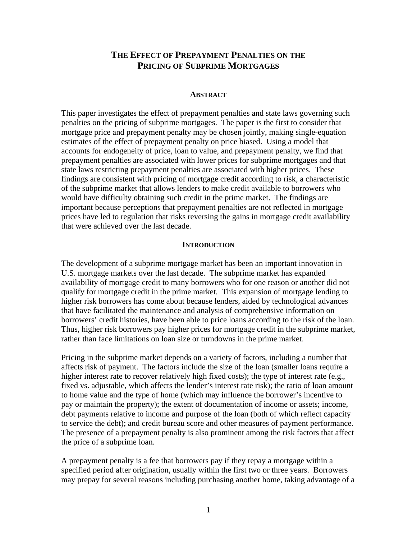## **THE EFFECT OF PREPAYMENT PENALTIES ON THE PRICING OF SUBPRIME MORTGAGES**

#### **ABSTRACT**

This paper investigates the effect of prepayment penalties and state laws governing such penalties on the pricing of subprime mortgages. The paper is the first to consider that mortgage price and prepayment penalty may be chosen jointly, making single-equation estimates of the effect of prepayment penalty on price biased. Using a model that accounts for endogeneity of price, loan to value, and prepayment penalty, we find that prepayment penalties are associated with lower prices for subprime mortgages and that state laws restricting prepayment penalties are associated with higher prices. These findings are consistent with pricing of mortgage credit according to risk, a characteristic of the subprime market that allows lenders to make credit available to borrowers who would have difficulty obtaining such credit in the prime market. The findings are important because perceptions that prepayment penalties are not reflected in mortgage prices have led to regulation that risks reversing the gains in mortgage credit availability that were achieved over the last decade.

#### **INTRODUCTION**

The development of a subprime mortgage market has been an important innovation in U.S. mortgage markets over the last decade. The subprime market has expanded availability of mortgage credit to many borrowers who for one reason or another did not qualify for mortgage credit in the prime market. This expansion of mortgage lending to higher risk borrowers has come about because lenders, aided by technological advances that have facilitated the maintenance and analysis of comprehensive information on borrowers' credit histories, have been able to price loans according to the risk of the loan. Thus, higher risk borrowers pay higher prices for mortgage credit in the subprime market, rather than face limitations on loan size or turndowns in the prime market.

Pricing in the subprime market depends on a variety of factors, including a number that affects risk of payment. The factors include the size of the loan (smaller loans require a higher interest rate to recover relatively high fixed costs); the type of interest rate (e.g., fixed vs. adjustable, which affects the lender's interest rate risk); the ratio of loan amount to home value and the type of home (which may influence the borrower's incentive to pay or maintain the property); the extent of documentation of income or assets; income, debt payments relative to income and purpose of the loan (both of which reflect capacity to service the debt); and credit bureau score and other measures of payment performance. The presence of a prepayment penalty is also prominent among the risk factors that affect the price of a subprime loan.

A prepayment penalty is a fee that borrowers pay if they repay a mortgage within a specified period after origination, usually within the first two or three years. Borrowers may prepay for several reasons including purchasing another home, taking advantage of a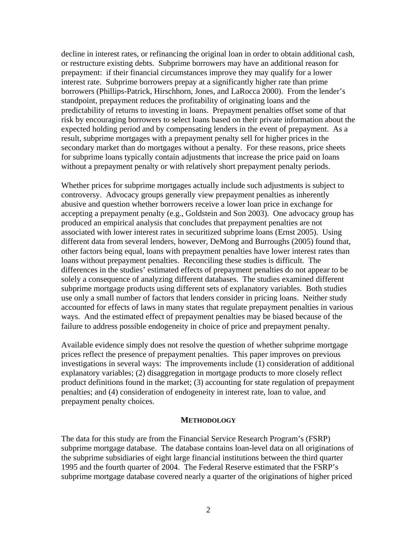decline in interest rates, or refinancing the original loan in order to obtain additional cash, or restructure existing debts. Subprime borrowers may have an additional reason for prepayment: if their financial circumstances improve they may qualify for a lower interest rate. Subprime borrowers prepay at a significantly higher rate than prime borrowers (Phillips-Patrick, Hirschhorn, Jones, and LaRocca 2000). From the lender's standpoint, prepayment reduces the profitability of originating loans and the predictability of returns to investing in loans. Prepayment penalties offset some of that risk by encouraging borrowers to select loans based on their private information about the expected holding period and by compensating lenders in the event of prepayment. As a result, subprime mortgages with a prepayment penalty sell for higher prices in the secondary market than do mortgages without a penalty. For these reasons, price sheets for subprime loans typically contain adjustments that increase the price paid on loans without a prepayment penalty or with relatively short prepayment penalty periods.

Whether prices for subprime mortgages actually include such adjustments is subject to controversy. Advocacy groups generally view prepayment penalties as inherently abusive and question whether borrowers receive a lower loan price in exchange for accepting a prepayment penalty (e.g., Goldstein and Son 2003). One advocacy group has produced an empirical analysis that concludes that prepayment penalties are not associated with lower interest rates in securitized subprime loans (Ernst 2005). Using different data from several lenders, however, DeMong and Burroughs (2005) found that, other factors being equal, loans with prepayment penalties have lower interest rates than loans without prepayment penalties. Reconciling these studies is difficult. The differences in the studies' estimated effects of prepayment penalties do not appear to be solely a consequence of analyzing different databases. The studies examined different subprime mortgage products using different sets of explanatory variables. Both studies use only a small number of factors that lenders consider in pricing loans. Neither study accounted for effects of laws in many states that regulate prepayment penalties in various ways. And the estimated effect of prepayment penalties may be biased because of the failure to address possible endogeneity in choice of price and prepayment penalty.

Available evidence simply does not resolve the question of whether subprime mortgage prices reflect the presence of prepayment penalties. This paper improves on previous investigations in several ways: The improvements include (1) consideration of additional explanatory variables; (2) disaggregation in mortgage products to more closely reflect product definitions found in the market; (3) accounting for state regulation of prepayment penalties; and (4) consideration of endogeneity in interest rate, loan to value, and prepayment penalty choices.

### **METHODOLOGY**

The data for this study are from the Financial Service Research Program's (FSRP) subprime mortgage database. The database contains loan-level data on all originations of the subprime subsidiaries of eight large financial institutions between the third quarter 1995 and the fourth quarter of 2004. The Federal Reserve estimated that the FSRP's subprime mortgage database covered nearly a quarter of the originations of higher priced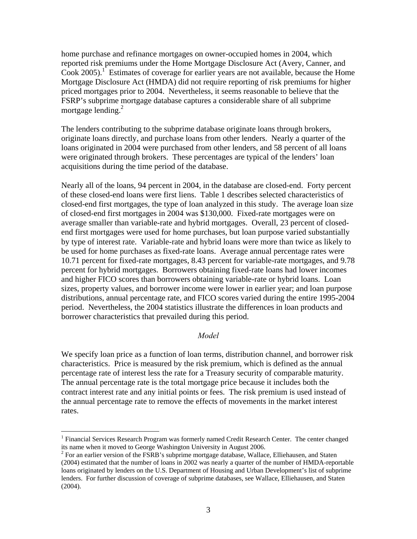home purchase and refinance mortgages on owner-occupied homes in 2004, which reported risk premiums under the Home Mortgage Disclosure Act (Avery, Canner, and Cook 2005).<sup>1</sup> Estimates of coverage for earlier years are not available, because the Home Mortgage Disclosure Act (HMDA) did not require reporting of risk premiums for higher priced mortgages prior to 2004. Nevertheless, it seems reasonable to believe that the FSRP's subprime mortgage database captures a considerable share of all subprime mortgage lending.<sup>2</sup>

The lenders contributing to the subprime database originate loans through brokers, originate loans directly, and purchase loans from other lenders. Nearly a quarter of the loans originated in 2004 were purchased from other lenders, and 58 percent of all loans were originated through brokers. These percentages are typical of the lenders' loan acquisitions during the time period of the database.

Nearly all of the loans, 94 percent in 2004, in the database are closed-end. Forty percent of these closed-end loans were first liens. Table 1 describes selected characteristics of closed-end first mortgages, the type of loan analyzed in this study. The average loan size of closed-end first mortgages in 2004 was \$130,000. Fixed-rate mortgages were on average smaller than variable-rate and hybrid mortgages. Overall, 23 percent of closedend first mortgages were used for home purchases, but loan purpose varied substantially by type of interest rate. Variable-rate and hybrid loans were more than twice as likely to be used for home purchases as fixed-rate loans. Average annual percentage rates were 10.71 percent for fixed-rate mortgages, 8.43 percent for variable-rate mortgages, and 9.78 percent for hybrid mortgages. Borrowers obtaining fixed-rate loans had lower incomes and higher FICO scores than borrowers obtaining variable-rate or hybrid loans. Loan sizes, property values, and borrower income were lower in earlier year; and loan purpose distributions, annual percentage rate, and FICO scores varied during the entire 1995-2004 period. Nevertheless, the 2004 statistics illustrate the differences in loan products and borrower characteristics that prevailed during this period.

## *Model*

We specify loan price as a function of loan terms, distribution channel, and borrower risk characteristics. Price is measured by the risk premium, which is defined as the annual percentage rate of interest less the rate for a Treasury security of comparable maturity. The annual percentage rate is the total mortgage price because it includes both the contract interest rate and any initial points or fees. The risk premium is used instead of the annual percentage rate to remove the effects of movements in the market interest rates.

<sup>&</sup>lt;sup>1</sup> Financial Services Research Program was formerly named Credit Research Center. The center changed its name when it moved to George Washington University in August 2006.

 $2^2$  For an earlier version of the FSRB's subprime mortgage database, Wallace, Elliehausen, and Staten (2004) estimated that the number of loans in 2002 was nearly a quarter of the number of HMDA-reportable loans originated by lenders on the U.S. Department of Housing and Urban Development's list of subprime lenders. For further discussion of coverage of subprime databases, see Wallace, Elliehausen, and Staten (2004).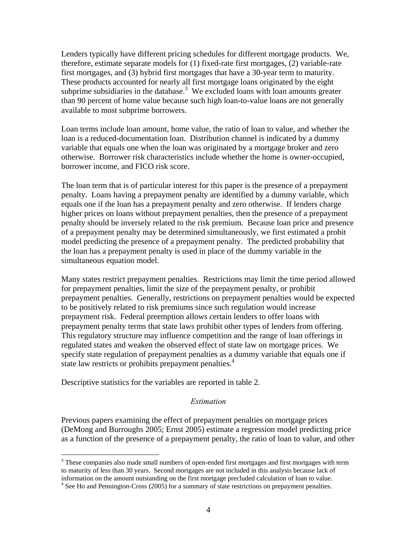Lenders typically have different pricing schedules for different mortgage products. We, therefore, estimate separate models for (1) fixed-rate first mortgages, (2) variable-rate first mortgages, and (3) hybrid first mortgages that have a 30-year term to maturity. These products accounted for nearly all first mortgage loans originated by the eight subprime subsidiaries in the database.<sup>3</sup> We excluded loans with loan amounts greater than 90 percent of home value because such high loan-to-value loans are not generally available to most subprime borrowers.

Loan terms include loan amount, home value, the ratio of loan to value, and whether the loan is a reduced-documentation loan. Distribution channel is indicated by a dummy variable that equals one when the loan was originated by a mortgage broker and zero otherwise. Borrower risk characteristics include whether the home is owner-occupied, borrower income, and FICO risk score.

The loan term that is of particular interest for this paper is the presence of a prepayment penalty. Loans having a prepayment penalty are identified by a dummy variable, which equals one if the loan has a prepayment penalty and zero otherwise. If lenders charge higher prices on loans without prepayment penalties, then the presence of a prepayment penalty should be inversely related to the risk premium. Because loan price and presence of a prepayment penalty may be determined simultaneously, we first estimated a probit model predicting the presence of a prepayment penalty. The predicted probability that the loan has a prepayment penalty is used in place of the dummy variable in the simultaneous equation model.

Many states restrict prepayment penalties. Restrictions may limit the time period allowed for prepayment penalties, limit the size of the prepayment penalty, or prohibit prepayment penalties. Generally, restrictions on prepayment penalties would be expected to be positively related to risk premiums since such regulation would increase prepayment risk. Federal preemption allows certain lenders to offer loans with prepayment penalty terms that state laws prohibit other types of lenders from offering. This regulatory structure may influence competition and the range of loan offerings in regulated states and weaken the observed effect of state law on mortgage prices. We specify state regulation of prepayment penalties as a dummy variable that equals one if state law restricts or prohibits prepayment penalties.<sup>4</sup>

Descriptive statistics for the variables are reported in table 2.

 $\overline{a}$ 

### *Estimation*

Previous papers examining the effect of prepayment penalties on mortgage prices (DeMong and Burroughs 2005; Ernst 2005) estimate a regression model predicting price as a function of the presence of a prepayment penalty, the ratio of loan to value, and other

 $3$  These companies also made small numbers of open-ended first mortgages and first mortgages with term to maturity of less than 30 years. Second mortgages are not included in this analysis because lack of information on the amount outstanding on the first mortgage precluded calculation of loan to value.

<sup>&</sup>lt;sup>4</sup> See Ho and Pennington-Cross (2005) for a summary of state restrictions on prepayment penalties.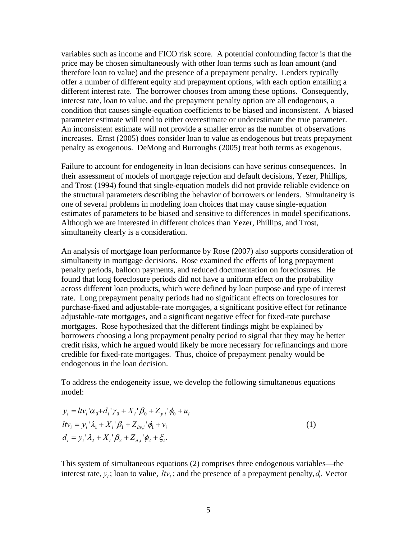variables such as income and FICO risk score. A potential confounding factor is that the price may be chosen simultaneously with other loan terms such as loan amount (and therefore loan to value) and the presence of a prepayment penalty. Lenders typically offer a number of different equity and prepayment options, with each option entailing a different interest rate. The borrower chooses from among these options. Consequently, interest rate, loan to value, and the prepayment penalty option are all endogenous, a condition that causes single-equation coefficients to be biased and inconsistent. A biased parameter estimate will tend to either overestimate or underestimate the true parameter. An inconsistent estimate will not provide a smaller error as the number of observations increases. Ernst (2005) does consider loan to value as endogenous but treats prepayment penalty as exogenous. DeMong and Burroughs (2005) treat both terms as exogenous.

Failure to account for endogeneity in loan decisions can have serious consequences. In their assessment of models of mortgage rejection and default decisions, Yezer, Phillips, and Trost (1994) found that single-equation models did not provide reliable evidence on the structural parameters describing the behavior of borrowers or lenders. Simultaneity is one of several problems in modeling loan choices that may cause single-equation estimates of parameters to be biased and sensitive to differences in model specifications. Although we are interested in different choices than Yezer, Phillips, and Trost, simultaneity clearly is a consideration.

An analysis of mortgage loan performance by Rose (2007) also supports consideration of simultaneity in mortgage decisions. Rose examined the effects of long prepayment penalty periods, balloon payments, and reduced documentation on foreclosures. He found that long foreclosure periods did not have a uniform effect on the probability across different loan products, which were defined by loan purpose and type of interest rate. Long prepayment penalty periods had no significant effects on foreclosures for purchase-fixed and adjustable-rate mortgages, a significant positive effect for refinance adjustable-rate mortgages, and a significant negative effect for fixed-rate purchase mortgages. Rose hypothesized that the different findings might be explained by borrowers choosing a long prepayment penalty period to signal that they may be better credit risks, which he argued would likely be more necessary for refinancings and more credible for fixed-rate mortgages. Thus, choice of prepayment penalty would be endogenous in the loan decision.

To address the endogeneity issue, we develop the following simultaneous equations model:

$$
y_{i} = l t v_{i}^{\dagger} \alpha_{0} + d_{i}^{\dagger} \gamma_{0} + X_{i}^{\dagger} \beta_{0} + Z_{y,i}^{\dagger} \phi_{0} + u_{i}
$$
  
\n
$$
l t v_{i} = y_{i}^{\dagger} \lambda_{1} + X_{i}^{\dagger} \beta_{1} + Z_{l v,i}^{\dagger} \phi_{1} + v_{i}
$$
  
\n
$$
d_{i} = y_{i}^{\dagger} \lambda_{2} + X_{i}^{\dagger} \beta_{2} + Z_{d,i}^{\dagger} \phi_{2} + \xi_{i}.
$$
\n(1)

This system of simultaneous equations (2) comprises three endogenous variables—the interest rate,  $y_i$ ; loan to value,  $l t v_i$ ; and the presence of a prepayment penalty,  $d_i$ . Vector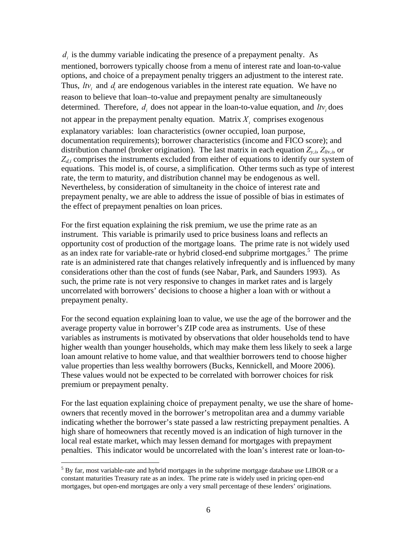$d_i$  is the dummy variable indicating the presence of a prepayment penalty. As mentioned, borrowers typically choose from a menu of interest rate and loan-to-value options, and choice of a prepayment penalty triggers an adjustment to the interest rate. Thus,  $\frac{dv_i}{dt}$  and  $d_i$  are endogenous variables in the interest rate equation. We have no reason to believe that loan–to-value and prepayment penalty are simultaneously determined. Therefore,  $d_i$  does not appear in the loan-to-value equation, and  $l t v_i$  does not appear in the prepayment penalty equation. Matrix  $X_i$  comprises exogenous explanatory variables: loan characteristics (owner occupied, loan purpose, documentation requirements); borrower characteristics (income and FICO score); and distribution channel (broker origination). The last matrix in each equation  $Z_{v,i}$ ,  $Z_{lv,i}$ , or *Zd,i* comprises the instruments excluded from either of equations to identify our system of equations. This model is, of course, a simplification. Other terms such as type of interest rate, the term to maturity, and distribution channel may be endogenous as well. Nevertheless, by consideration of simultaneity in the choice of interest rate and prepayment penalty, we are able to address the issue of possible of bias in estimates of the effect of prepayment penalties on loan prices.

For the first equation explaining the risk premium, we use the prime rate as an instrument. This variable is primarily used to price business loans and reflects an opportunity cost of production of the mortgage loans. The prime rate is not widely used as an index rate for variable-rate or hybrid closed-end subprime mortgages.<sup>5</sup> The prime rate is an administered rate that changes relatively infrequently and is influenced by many considerations other than the cost of funds (see Nabar, Park, and Saunders 1993). As such, the prime rate is not very responsive to changes in market rates and is largely uncorrelated with borrowers' decisions to choose a higher a loan with or without a prepayment penalty.

For the second equation explaining loan to value, we use the age of the borrower and the average property value in borrower's ZIP code area as instruments. Use of these variables as instruments is motivated by observations that older households tend to have higher wealth than younger households, which may make them less likely to seek a large loan amount relative to home value, and that wealthier borrowers tend to choose higher value properties than less wealthy borrowers (Bucks, Kennickell, and Moore 2006). These values would not be expected to be correlated with borrower choices for risk premium or prepayment penalty.

For the last equation explaining choice of prepayment penalty, we use the share of homeowners that recently moved in the borrower's metropolitan area and a dummy variable indicating whether the borrower's state passed a law restricting prepayment penalties. A high share of homeowners that recently moved is an indication of high turnover in the local real estate market, which may lessen demand for mortgages with prepayment penalties. This indicator would be uncorrelated with the loan's interest rate or loan-to-

 $<sup>5</sup>$  By far, most variable-rate and hybrid mortgages in the subprime mortgage database use LIBOR or a</sup> constant maturities Treasury rate as an index. The prime rate is widely used in pricing open-end mortgages, but open-end mortgages are only a very small percentage of these lenders' originations.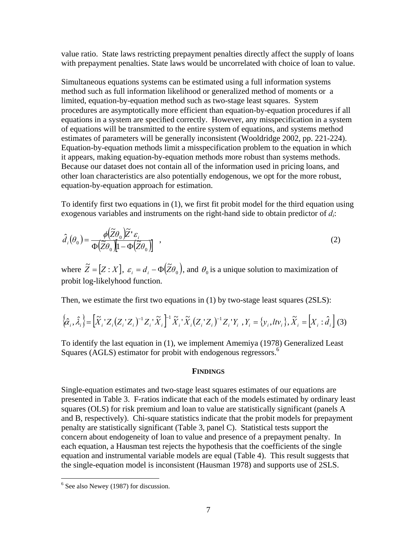value ratio. State laws restricting prepayment penalties directly affect the supply of loans with prepayment penalties. State laws would be uncorrelated with choice of loan to value.

Simultaneous equations systems can be estimated using a full information systems method such as full information likelihood or generalized method of moments or a limited, equation-by-equation method such as two-stage least squares. System procedures are asymptotically more efficient than equation-by-equation procedures if all equations in a system are specified correctly. However, any misspecification in a system of equations will be transmitted to the entire system of equations, and systems method estimates of parameters will be generally inconsistent (Wooldridge 2002, pp. 221-224). Equation-by-equation methods limit a misspecification problem to the equation in which it appears, making equation-by-equation methods more robust than systems methods. Because our dataset does not contain all of the information used in pricing loans, and other loan characteristics are also potentially endogenous, we opt for the more robust, equation-by-equation approach for estimation.

To identify first two equations in (1), we first fit probit model for the third equation using exogenous variables and instruments on the right-hand side to obtain predictor of *di*:

$$
\hat{d}_i(\theta_0) = \frac{\phi(\tilde{Z}\theta_0)\tilde{Z}^*\varepsilon_i}{\Phi(\tilde{Z}\theta_0)[1 - \Phi(\tilde{Z}\theta_0)]} ,
$$
\n(2)

where  $\tilde{Z} = [Z : X]$ ,  $\varepsilon_i = d_i - \Phi(\tilde{Z}\theta_0)$ , and  $\theta_0$  is a unique solution to maximization of probit log-likelyhood function.

Then, we estimate the first two equations in (1) by two-stage least squares (2SLS):

$$
\left\{\hat{\alpha}_i, \hat{\lambda}_i\right\} = \left[\widetilde{X}_i \,^{\mathsf{T}} Z_i \left(Z_i \,^{\mathsf{T}} Z_i\right)^{-1} Z_i \,^{\mathsf{T}} \widetilde{X}_i\right]^{-1} \widetilde{X}_i \,^{\mathsf{T}} \widetilde{X}_i \left(Z_i \,^{\mathsf{T}} Z_i\right)^{-1} Z_i \,^{\mathsf{T}} Y_i \,^{\mathsf{T}} \mathsf{X}_i = \left\{\mathsf{y}_i, \mathsf{l} t \mathsf{v}_i\right\}, \widetilde{X}_i = \left[X_i : \hat{d}_i\right] \tag{3}
$$

To identify the last equation in (1), we implement Amemiya (1978) Generalized Least Squares (AGLS) estimator for probit with endogenous regressors.<sup>6</sup>

#### **FINDINGS**

Single-equation estimates and two-stage least squares estimates of our equations are presented in Table 3. F-ratios indicate that each of the models estimated by ordinary least squares (OLS) for risk premium and loan to value are statistically significant (panels A and B, respectively). Chi-square statistics indicate that the probit models for prepayment penalty are statistically significant (Table 3, panel C). Statistical tests support the concern about endogeneity of loan to value and presence of a prepayment penalty. In each equation, a Hausman test rejects the hypothesis that the coefficients of the single equation and instrumental variable models are equal (Table 4). This result suggests that the single-equation model is inconsistent (Hausman 1978) and supports use of 2SLS.

 6 See also Newey (1987) for discussion.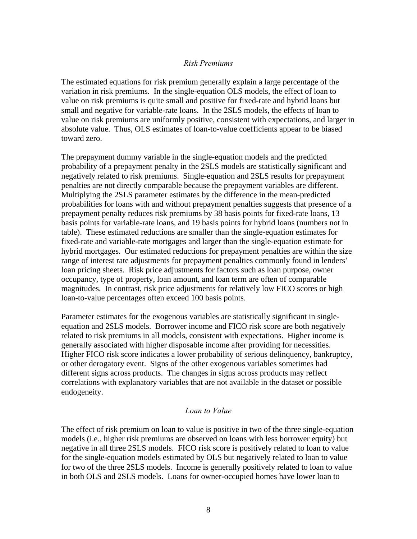## *Risk Premiums*

The estimated equations for risk premium generally explain a large percentage of the variation in risk premiums. In the single-equation OLS models, the effect of loan to value on risk premiums is quite small and positive for fixed-rate and hybrid loans but small and negative for variable-rate loans. In the 2SLS models, the effects of loan to value on risk premiums are uniformly positive, consistent with expectations, and larger in absolute value. Thus, OLS estimates of loan-to-value coefficients appear to be biased toward zero.

The prepayment dummy variable in the single-equation models and the predicted probability of a prepayment penalty in the 2SLS models are statistically significant and negatively related to risk premiums. Single-equation and 2SLS results for prepayment penalties are not directly comparable because the prepayment variables are different. Multiplying the 2SLS parameter estimates by the difference in the mean-predicted probabilities for loans with and without prepayment penalties suggests that presence of a prepayment penalty reduces risk premiums by 38 basis points for fixed-rate loans, 13 basis points for variable-rate loans, and 19 basis points for hybrid loans (numbers not in table). These estimated reductions are smaller than the single-equation estimates for fixed-rate and variable-rate mortgages and larger than the single-equation estimate for hybrid mortgages. Our estimated reductions for prepayment penalties are within the size range of interest rate adjustments for prepayment penalties commonly found in lenders' loan pricing sheets. Risk price adjustments for factors such as loan purpose, owner occupancy, type of property, loan amount, and loan term are often of comparable magnitudes. In contrast, risk price adjustments for relatively low FICO scores or high loan-to-value percentages often exceed 100 basis points.

Parameter estimates for the exogenous variables are statistically significant in singleequation and 2SLS models. Borrower income and FICO risk score are both negatively related to risk premiums in all models, consistent with expectations. Higher income is generally associated with higher disposable income after providing for necessities. Higher FICO risk score indicates a lower probability of serious delinquency, bankruptcy, or other derogatory event. Signs of the other exogenous variables sometimes had different signs across products. The changes in signs across products may reflect correlations with explanatory variables that are not available in the dataset or possible endogeneity.

### *Loan to Value*

The effect of risk premium on loan to value is positive in two of the three single-equation models (i.e., higher risk premiums are observed on loans with less borrower equity) but negative in all three 2SLS models. FICO risk score is positively related to loan to value for the single-equation models estimated by OLS but negatively related to loan to value for two of the three 2SLS models. Income is generally positively related to loan to value in both OLS and 2SLS models. Loans for owner-occupied homes have lower loan to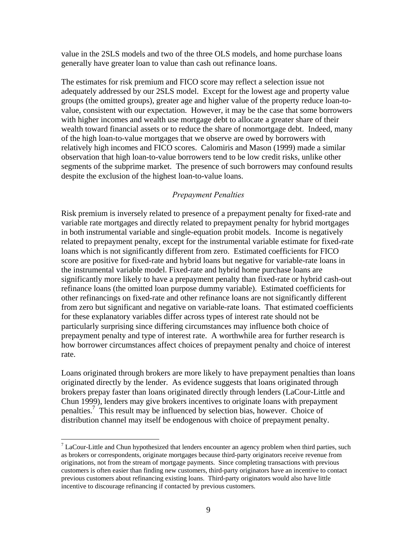value in the 2SLS models and two of the three OLS models, and home purchase loans generally have greater loan to value than cash out refinance loans.

The estimates for risk premium and FICO score may reflect a selection issue not adequately addressed by our 2SLS model. Except for the lowest age and property value groups (the omitted groups), greater age and higher value of the property reduce loan-tovalue, consistent with our expectation. However, it may be the case that some borrowers with higher incomes and wealth use mortgage debt to allocate a greater share of their wealth toward financial assets or to reduce the share of nonmortgage debt. Indeed, many of the high loan-to-value mortgages that we observe are owed by borrowers with relatively high incomes and FICO scores. Calomiris and Mason (1999) made a similar observation that high loan-to-value borrowers tend to be low credit risks, unlike other segments of the subprime market. The presence of such borrowers may confound results despite the exclusion of the highest loan-to-value loans.

## *Prepayment Penalties*

Risk premium is inversely related to presence of a prepayment penalty for fixed-rate and variable rate mortgages and directly related to prepayment penalty for hybrid mortgages in both instrumental variable and single-equation probit models. Income is negatively related to prepayment penalty, except for the instrumental variable estimate for fixed-rate loans which is not significantly different from zero. Estimated coefficients for FICO score are positive for fixed-rate and hybrid loans but negative for variable-rate loans in the instrumental variable model. Fixed-rate and hybrid home purchase loans are significantly more likely to have a prepayment penalty than fixed-rate or hybrid cash-out refinance loans (the omitted loan purpose dummy variable). Estimated coefficients for other refinancings on fixed-rate and other refinance loans are not significantly different from zero but significant and negative on variable-rate loans. That estimated coefficients for these explanatory variables differ across types of interest rate should not be particularly surprising since differing circumstances may influence both choice of prepayment penalty and type of interest rate. A worthwhile area for further research is how borrower circumstances affect choices of prepayment penalty and choice of interest rate.

Loans originated through brokers are more likely to have prepayment penalties than loans originated directly by the lender. As evidence suggests that loans originated through brokers prepay faster than loans originated directly through lenders (LaCour-Little and Chun 1999), lenders may give brokers incentives to originate loans with prepayment penalties.7 This result may be influenced by selection bias, however. Choice of distribution channel may itself be endogenous with choice of prepayment penalty.

 $<sup>7</sup>$  LaCour-Little and Chun hypothesized that lenders encounter an agency problem when third parties, such</sup> as brokers or correspondents, originate mortgages because third-party originators receive revenue from originations, not from the stream of mortgage payments. Since completing transactions with previous customers is often easier than finding new customers, third-party originators have an incentive to contact previous customers about refinancing existing loans. Third-party originators would also have little incentive to discourage refinancing if contacted by previous customers.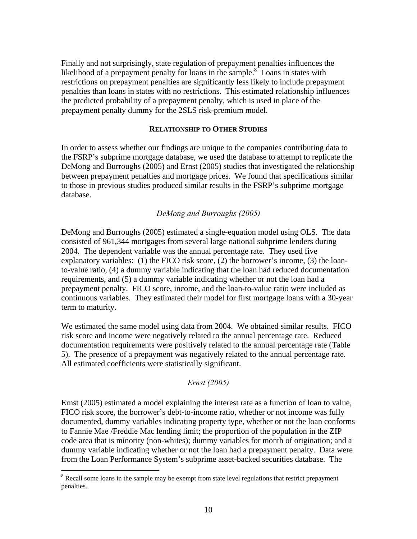Finally and not surprisingly, state regulation of prepayment penalties influences the likelihood of a prepayment penalty for loans in the sample. $8^{\circ}$  Loans in states with restrictions on prepayment penalties are significantly less likely to include prepayment penalties than loans in states with no restrictions. This estimated relationship influences the predicted probability of a prepayment penalty, which is used in place of the prepayment penalty dummy for the 2SLS risk-premium model.

### **RELATIONSHIP TO OTHER STUDIES**

In order to assess whether our findings are unique to the companies contributing data to the FSRP's subprime mortgage database, we used the database to attempt to replicate the DeMong and Burroughs (2005) and Ernst (2005) studies that investigated the relationship between prepayment penalties and mortgage prices. We found that specifications similar to those in previous studies produced similar results in the FSRP's subprime mortgage database.

## *DeMong and Burroughs (2005)*

DeMong and Burroughs (2005) estimated a single-equation model using OLS. The data consisted of 961,344 mortgages from several large national subprime lenders during 2004. The dependent variable was the annual percentage rate. They used five explanatory variables: (1) the FICO risk score, (2) the borrower's income, (3) the loanto-value ratio, (4) a dummy variable indicating that the loan had reduced documentation requirements, and (5) a dummy variable indicating whether or not the loan had a prepayment penalty. FICO score, income, and the loan-to-value ratio were included as continuous variables. They estimated their model for first mortgage loans with a 30-year term to maturity.

We estimated the same model using data from 2004. We obtained similar results. FICO risk score and income were negatively related to the annual percentage rate. Reduced documentation requirements were positively related to the annual percentage rate (Table 5). The presence of a prepayment was negatively related to the annual percentage rate. All estimated coefficients were statistically significant.

### *Ernst (2005)*

Ernst (2005) estimated a model explaining the interest rate as a function of loan to value, FICO risk score, the borrower's debt-to-income ratio, whether or not income was fully documented, dummy variables indicating property type, whether or not the loan conforms to Fannie Mae /Freddie Mac lending limit; the proportion of the population in the ZIP code area that is minority (non-whites); dummy variables for month of origination; and a dummy variable indicating whether or not the loan had a prepayment penalty. Data were from the Loan Performance System's subprime asset-backed securities database. The

<sup>&</sup>lt;sup>8</sup> Recall some loans in the sample may be exempt from state level regulations that restrict prepayment penalties.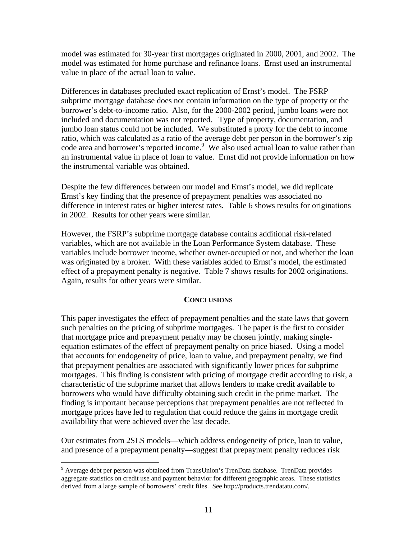model was estimated for 30-year first mortgages originated in 2000, 2001, and 2002. The model was estimated for home purchase and refinance loans. Ernst used an instrumental value in place of the actual loan to value.

Differences in databases precluded exact replication of Ernst's model. The FSRP subprime mortgage database does not contain information on the type of property or the borrower's debt-to-income ratio. Also, for the 2000-2002 period, jumbo loans were not included and documentation was not reported. Type of property, documentation, and jumbo loan status could not be included. We substituted a proxy for the debt to income ratio, which was calculated as a ratio of the average debt per person in the borrower's zip code area and borrower's reported income.<sup>9</sup> We also used actual loan to value rather than an instrumental value in place of loan to value. Ernst did not provide information on how the instrumental variable was obtained.

Despite the few differences between our model and Ernst's model, we did replicate Ernst's key finding that the presence of prepayment penalties was associated no difference in interest rates or higher interest rates. Table 6 shows results for originations in 2002. Results for other years were similar.

However, the FSRP's subprime mortgage database contains additional risk-related variables, which are not available in the Loan Performance System database. These variables include borrower income, whether owner-occupied or not, and whether the loan was originated by a broker. With these variables added to Ernst's model, the estimated effect of a prepayment penalty is negative. Table 7 shows results for 2002 originations. Again, results for other years were similar.

## **CONCLUSIONS**

This paper investigates the effect of prepayment penalties and the state laws that govern such penalties on the pricing of subprime mortgages. The paper is the first to consider that mortgage price and prepayment penalty may be chosen jointly, making singleequation estimates of the effect of prepayment penalty on price biased. Using a model that accounts for endogeneity of price, loan to value, and prepayment penalty, we find that prepayment penalties are associated with significantly lower prices for subprime mortgages. This finding is consistent with pricing of mortgage credit according to risk, a characteristic of the subprime market that allows lenders to make credit available to borrowers who would have difficulty obtaining such credit in the prime market. The finding is important because perceptions that prepayment penalties are not reflected in mortgage prices have led to regulation that could reduce the gains in mortgage credit availability that were achieved over the last decade.

Our estimates from 2SLS models—which address endogeneity of price, loan to value, and presence of a prepayment penalty—suggest that prepayment penalty reduces risk

<sup>&</sup>lt;sup>9</sup> Average debt per person was obtained from TransUnion's TrenData database. TrenData provides aggregate statistics on credit use and payment behavior for different geographic areas. These statistics derived from a large sample of borrowers' credit files. See http://products.trendatatu.com/.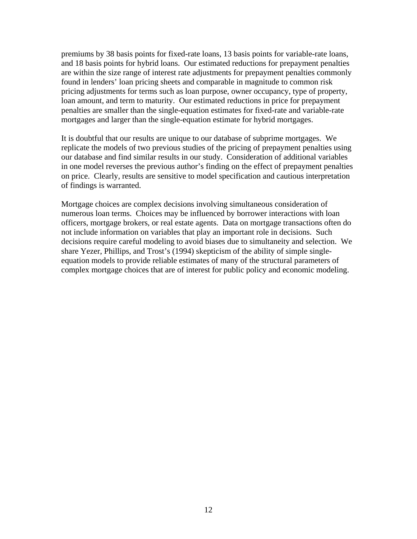premiums by 38 basis points for fixed-rate loans, 13 basis points for variable-rate loans, and 18 basis points for hybrid loans. Our estimated reductions for prepayment penalties are within the size range of interest rate adjustments for prepayment penalties commonly found in lenders' loan pricing sheets and comparable in magnitude to common risk pricing adjustments for terms such as loan purpose, owner occupancy, type of property, loan amount, and term to maturity. Our estimated reductions in price for prepayment penalties are smaller than the single-equation estimates for fixed-rate and variable-rate mortgages and larger than the single-equation estimate for hybrid mortgages.

It is doubtful that our results are unique to our database of subprime mortgages. We replicate the models of two previous studies of the pricing of prepayment penalties using our database and find similar results in our study. Consideration of additional variables in one model reverses the previous author's finding on the effect of prepayment penalties on price. Clearly, results are sensitive to model specification and cautious interpretation of findings is warranted.

Mortgage choices are complex decisions involving simultaneous consideration of numerous loan terms. Choices may be influenced by borrower interactions with loan officers, mortgage brokers, or real estate agents. Data on mortgage transactions often do not include information on variables that play an important role in decisions. Such decisions require careful modeling to avoid biases due to simultaneity and selection. We share Yezer, Phillips, and Trost's (1994) skepticism of the ability of simple singleequation models to provide reliable estimates of many of the structural parameters of complex mortgage choices that are of interest for public policy and economic modeling.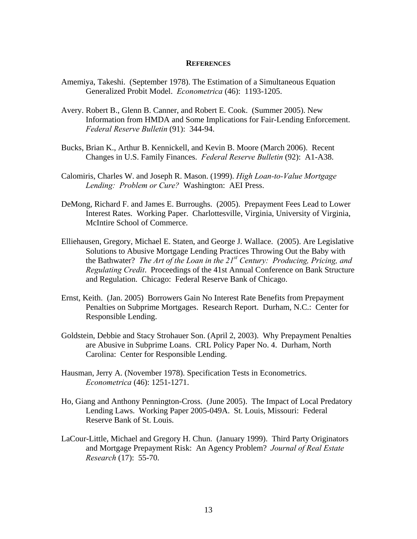### **REFERENCES**

- Amemiya, Takeshi. (September 1978). The Estimation of a Simultaneous Equation Generalized Probit Model. *Econometrica* (46): 1193-1205.
- Avery. Robert B., Glenn B. Canner, and Robert E. Cook. (Summer 2005). New Information from HMDA and Some Implications for Fair-Lending Enforcement. *Federal Reserve Bulletin* (91): 344-94.
- Bucks, Brian K., Arthur B. Kennickell, and Kevin B. Moore (March 2006). Recent Changes in U.S. Family Finances. *Federal Reserve Bulletin* (92): A1-A38.
- Calomiris, Charles W. and Joseph R. Mason. (1999). *High Loan-to-Value Mortgage Lending: Problem or Cure?* Washington: AEI Press.
- DeMong, Richard F. and James E. Burroughs. (2005). Prepayment Fees Lead to Lower Interest Rates. Working Paper. Charlottesville, Virginia, University of Virginia, McIntire School of Commerce.
- Elliehausen, Gregory, Michael E. Staten, and George J. Wallace. (2005). Are Legislative Solutions to Abusive Mortgage Lending Practices Throwing Out the Baby with the Bathwater? *The Art of the Loan in the 21st Century: Producing, Pricing, and Regulating Credit*. Proceedings of the 41st Annual Conference on Bank Structure and Regulation. Chicago: Federal Reserve Bank of Chicago.
- Ernst, Keith. (Jan. 2005) Borrowers Gain No Interest Rate Benefits from Prepayment Penalties on Subprime Mortgages. Research Report. Durham, N.C.: Center for Responsible Lending.
- Goldstein, Debbie and Stacy Strohauer Son. (April 2, 2003). Why Prepayment Penalties are Abusive in Subprime Loans. CRL Policy Paper No. 4. Durham, North Carolina: Center for Responsible Lending.
- Hausman, Jerry A. (November 1978). Specification Tests in Econometrics. *Econometrica* (46): 1251-1271.
- Ho, Giang and Anthony Pennington-Cross. (June 2005). The Impact of Local Predatory Lending Laws. Working Paper 2005-049A. St. Louis, Missouri: Federal Reserve Bank of St. Louis.
- LaCour-Little, Michael and Gregory H. Chun. (January 1999). Third Party Originators and Mortgage Prepayment Risk: An Agency Problem? *Journal of Real Estate Research* (17): 55-70.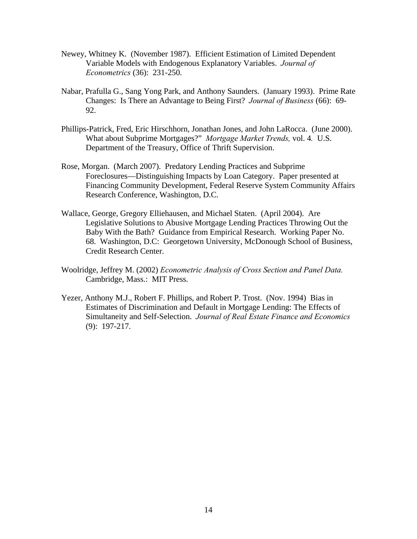- Newey, Whitney K. (November 1987). Efficient Estimation of Limited Dependent Variable Models with Endogenous Explanatory Variables. *Journal of Econometrics* (36): 231-250.
- Nabar, Prafulla G., Sang Yong Park, and Anthony Saunders. (January 1993). Prime Rate Changes: Is There an Advantage to Being First? *Journal of Business* (66): 69- 92.
- Phillips-Patrick, Fred, Eric Hirschhorn, Jonathan Jones, and John LaRocca. (June 2000). What about Subprime Mortgages?" *Mortgage Market Trends,* vol. 4*.* U.S. Department of the Treasury, Office of Thrift Supervision.
- Rose, Morgan. (March 2007). Predatory Lending Practices and Subprime Foreclosures—Distinguishing Impacts by Loan Category. Paper presented at Financing Community Development, Federal Reserve System Community Affairs Research Conference, Washington, D.C.
- Wallace, George, Gregory Elliehausen, and Michael Staten. (April 2004). Are Legislative Solutions to Abusive Mortgage Lending Practices Throwing Out the Baby With the Bath? Guidance from Empirical Research. Working Paper No. 68. Washington, D.C: Georgetown University, McDonough School of Business, Credit Research Center.
- Woolridge, Jeffrey M. (2002) *Econometric Analysis of Cross Section and Panel Data.*  Cambridge, Mass.: MIT Press.
- Yezer, Anthony M.J., Robert F. Phillips, and Robert P. Trost. (Nov. 1994) Bias in Estimates of Discrimination and Default in Mortgage Lending: The Effects of Simultaneity and Self-Selection. *Journal of Real Estate Finance and Economics* (9): 197-217.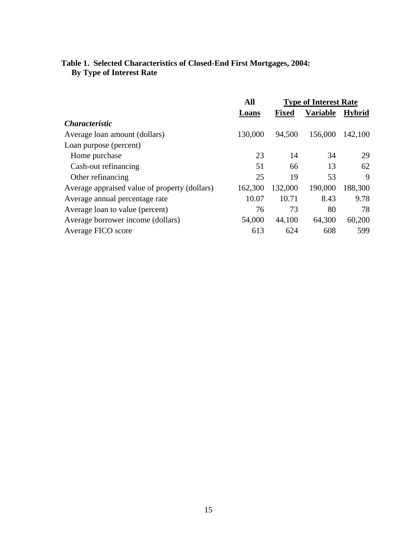| Table 1. Selected Characteristics of Closed-End First Mortgages, 2004: |  |
|------------------------------------------------------------------------|--|
| By Type of Interest Rate                                               |  |

|                                               | All     | <b>Type of Interest Rate</b> |                 |               |
|-----------------------------------------------|---------|------------------------------|-----------------|---------------|
|                                               | Loans   | <b>Fixed</b>                 | <b>Variable</b> | <b>Hybrid</b> |
| <i><b>Characteristic</b></i>                  |         |                              |                 |               |
| Average loan amount (dollars)                 | 130,000 | 94,500                       | 156,000         | 142,100       |
| Loan purpose (percent)                        |         |                              |                 |               |
| Home purchase                                 | 23      | 14                           | 34              | 29            |
| Cash-out refinancing                          | 51      | 66                           | 13              | 62            |
| Other refinancing                             | 25      | 19                           | 53              | 9             |
| Average appraised value of property (dollars) | 162,300 | 132,000                      | 190,000         | 188,300       |
| Average annual percentage rate                | 10.07   | 10.71                        | 8.43            | 9.78          |
| Average loan to value (percent)               | 76      | 73                           | 80              | 78            |
| Average borrower income (dollars)             | 54,000  | 44,100                       | 64,300          | 60,200        |
| Average FICO score                            | 613     | 624                          | 608             | 599           |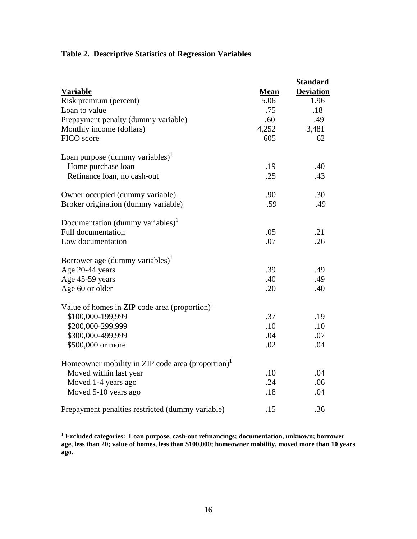## **Table 2. Descriptive Statistics of Regression Variables**

|                                                               |             | <b>Standard</b>  |
|---------------------------------------------------------------|-------------|------------------|
| <b>Variable</b>                                               | <b>Mean</b> | <b>Deviation</b> |
| Risk premium (percent)                                        | 5.06        | 1.96             |
| Loan to value                                                 | .75         | .18              |
| Prepayment penalty (dummy variable)                           | .60         | .49              |
| Monthly income (dollars)                                      | 4,252       | 3,481            |
| FICO score                                                    | 605         | 62               |
| Loan purpose $(dummy variables)^1$                            |             |                  |
| Home purchase loan                                            | .19         | .40              |
| Refinance loan, no cash-out                                   | .25         | .43              |
| Owner occupied (dummy variable)                               | .90         | .30              |
| Broker origination (dummy variable)                           | .59         | .49              |
| Documentation (dummy variables) <sup>1</sup>                  |             |                  |
| <b>Full documentation</b>                                     | .05         | .21              |
| Low documentation                                             | .07         | .26              |
| Borrower age (dummy variables) <sup>1</sup>                   |             |                  |
| Age 20-44 years                                               | .39         | .49              |
| Age 45-59 years                                               | .40         | .49              |
| Age 60 or older                                               | .20         | .40              |
| Value of homes in ZIP code area (proportion) <sup>1</sup>     |             |                  |
| \$100,000-199,999                                             | .37         | .19              |
| \$200,000-299,999                                             | .10         | .10              |
| \$300,000-499,999                                             | .04         | .07              |
| \$500,000 or more                                             | .02         | .04              |
| Homeowner mobility in ZIP code area (proportion) <sup>1</sup> |             |                  |
| Moved within last year                                        | .10         | .04              |
| Moved 1-4 years ago                                           | .24         | .06              |
| Moved 5-10 years ago                                          | .18         | .04              |
| Prepayment penalties restricted (dummy variable)              | .15         | .36              |

<sup>1</sup> **Excluded categories: Loan purpose, cash-out refinancings; documentation, unknown; borrower age, less than 20; value of homes, less than \$100,000; homeowner mobility, moved more than 10 years ago.**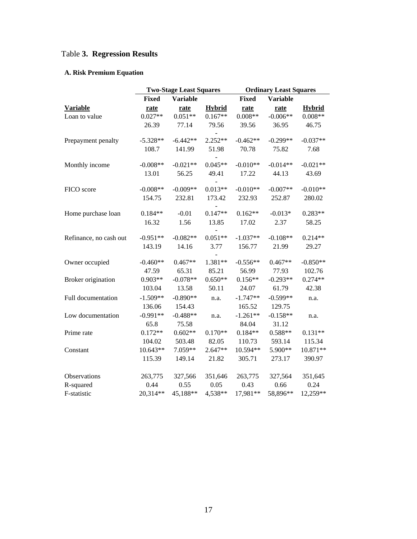# Table **3. Regression Results**

## **A. Risk Premium Equation**

|                        | <b>Two-Stage Least Squares</b> |                 | <b>Ordinary Least Squares</b> |              |                 |               |
|------------------------|--------------------------------|-----------------|-------------------------------|--------------|-----------------|---------------|
|                        | <b>Fixed</b>                   | <b>Variable</b> |                               | <b>Fixed</b> | <b>Variable</b> |               |
| <b>Variable</b>        | rate                           | rate            | <b>Hybrid</b>                 | rate         | rate            | <b>Hybrid</b> |
| Loan to value          | $0.027**$                      | $0.051**$       | $0.167**$                     | $0.008**$    | $-0.006**$      | $0.008**$     |
|                        | 26.39                          | 77.14           | 79.56                         | 39.56        | 36.95           | 46.75         |
| Prepayment penalty     | $-5.328**$                     | $-6.442**$      | $2.252**$                     | $-0.462**$   | $-0.299**$      | $-0.037**$    |
|                        | 108.7                          | 141.99          | 51.98                         | 70.78        | 75.82           | 7.68          |
| Monthly income         | $-0.008**$                     | $-0.021**$      | $0.045**$                     | $-0.010**$   | $-0.014**$      | $-0.021**$    |
|                        | 13.01                          | 56.25           | 49.41<br>$\overline{a}$       | 17.22        | 44.13           | 43.69         |
| FICO score             | $-0.008**$                     | $-0.009**$      | $0.013**$                     | $-0.010**$   | $-0.007**$      | $-0.010**$    |
|                        | 154.75                         | 232.81          | 173.42                        | 232.93       | 252.87          | 280.02        |
| Home purchase loan     | $0.184**$                      | $-0.01$         | $0.147**$                     | $0.162**$    | $-0.013*$       | $0.283**$     |
|                        | 16.32                          | 1.56            | 13.85                         | 17.02        | 2.37            | 58.25         |
| Refinance, no cash out | $-0.951**$                     | $-0.082**$      | $0.051**$                     | $-1.037**$   | $-0.108**$      | $0.214**$     |
|                        | 143.19                         | 14.16           | 3.77                          | 156.77       | 21.99           | 29.27         |
| Owner occupied         | $-0.460**$                     | $0.467**$       | 1.381**                       | $-0.556**$   | $0.467**$       | $-0.850**$    |
|                        | 47.59                          | 65.31           | 85.21                         | 56.99        | 77.93           | 102.76        |
| Broker origination     | 0.903**                        | $-0.078**$      | $0.650**$                     | $0.156**$    | $-0.293**$      | $0.274**$     |
|                        | 103.04                         | 13.58           | 50.11                         | 24.07        | 61.79           | 42.38         |
| Full documentation     | $-1.509**$                     | $-0.890**$      | n.a.                          | $-1.747**$   | $-0.599**$      | n.a.          |
|                        | 136.06                         | 154.43          |                               | 165.52       | 129.75          |               |
| Low documentation      | $-0.991**$                     | $-0.488**$      | n.a.                          | $-1.261**$   | $-0.158**$      | n.a.          |
|                        | 65.8                           | 75.58           |                               | 84.04        | 31.12           |               |
| Prime rate             | $0.172**$                      | $0.602**$       | $0.170**$                     | $0.184**$    | $0.588**$       | $0.131**$     |
|                        | 104.02                         | 503.48          | 82.05                         | 110.73       | 593.14          | 115.34        |
| Constant               | $10.643**$                     | $7.059**$       | 2.647**                       | 10.594**     | 5.900**         | 10.871**      |
|                        | 115.39                         | 149.14          | 21.82                         | 305.71       | 273.17          | 390.97        |
| Observations           | 263,775                        | 327,566         | 351,646                       | 263,775      | 327,564         | 351,645       |
| R-squared              | 0.44                           | 0.55            | 0.05                          | 0.43         | 0.66            | 0.24          |
| F-statistic            | 20,314**                       | 45,188**        | 4,538**                       | 17,981**     | 58,896**        | 12,259**      |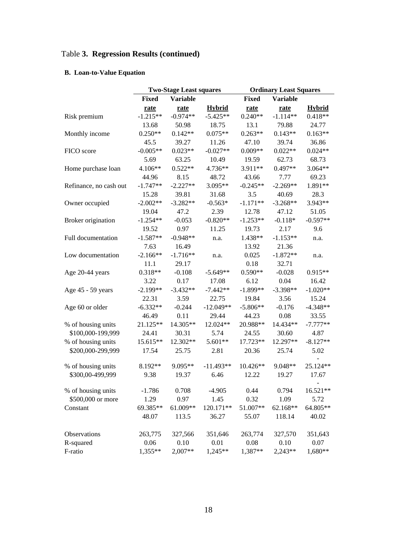# Table **3. Regression Results (continued)**

## **B. Loan-to-Value Equation**

|                        | <b>Two-Stage Least squares</b> |                 | <b>Ordinary Least Squares</b> |                                 |            |            |  |
|------------------------|--------------------------------|-----------------|-------------------------------|---------------------------------|------------|------------|--|
|                        | <b>Fixed</b>                   | <b>Variable</b> |                               | <b>Fixed</b><br><b>Variable</b> |            |            |  |
|                        | rate                           | rate            | <b>Hybrid</b>                 | rate                            | rate       | Hybrid     |  |
| Risk premium           | $-1.215**$                     | $-0.974**$      | $-5.425**$                    | $0.240**$                       | $-1.114**$ | $0.418**$  |  |
|                        | 13.68                          | 50.98           | 18.75                         | 13.1                            | 79.88      | 24.77      |  |
| Monthly income         | $0.250**$                      | $0.142**$       | $0.075**$                     | $0.263**$                       | $0.143**$  | $0.163**$  |  |
|                        | 45.5                           | 39.27           | 11.26                         | 47.10                           | 39.74      | 36.86      |  |
| FICO score             | $-0.005**$                     | $0.023**$       | $-0.027**$                    | $0.009**$                       | $0.022**$  | $0.024**$  |  |
|                        | 5.69                           | 63.25           | 10.49                         | 19.59                           | 62.73      | 68.73      |  |
| Home purchase loan     | 4.106**                        | $0.522**$       | 4.736**                       | 3.911**                         | $0.497**$  | 3.064**    |  |
|                        | 44.96                          | 8.15            | 48.72                         | 43.66                           | 7.77       | 69.23      |  |
| Refinance, no cash out | $-1.747**$                     | $-2.227**$      | 3.095**                       | $-0.245**$                      | $-2.269**$ | 1.891**    |  |
|                        | 15.28                          | 39.81           | 31.68                         | 3.5                             | 40.69      | 28.3       |  |
| Owner occupied         | $-2.002**$                     | $-3.282**$      | $-0.563*$                     | $-1.171**$                      | $-3.268**$ | 3.943**    |  |
|                        | 19.04                          | 47.2            | 2.39                          | 12.78                           | 47.12      | 51.05      |  |
| Broker origination     | $-1.254**$                     | $-0.053$        | $-0.820**$                    | $-1.253**$                      | $-0.118*$  | $-0.597**$ |  |
|                        | 19.52                          | 0.97            | 11.25                         | 19.73                           | 2.17       | 9.6        |  |
| Full documentation     | $-1.587**$                     | $-0.948**$      | n.a.                          | 1.438**                         | $-1.153**$ | n.a.       |  |
|                        | 7.63                           | 16.49           |                               | 13.92                           | 21.36      |            |  |
| Low documentation      | $-2.166**$                     | $-1.716**$      | n.a.                          | 0.025                           | $-1.872**$ | n.a.       |  |
|                        | 11.1                           | 29.17           |                               | 0.18                            | 32.71      |            |  |
| Age 20-44 years        | $0.318**$                      | $-0.108$        | $-5.649**$                    | $0.590**$                       | $-0.028$   | 0.915**    |  |
|                        | 3.22                           | 0.17            | 17.08                         | 6.12                            | 0.04       | 16.42      |  |
| Age 45 - 59 years      | $-2.199**$                     | $-3.432**$      | $-7.442**$                    | $-1.899**$                      | $-3.398**$ | $-1.020**$ |  |
|                        | 22.31                          | 3.59            | 22.75                         | 19.84                           | 3.56       | 15.24      |  |
| Age 60 or older        | $-6.332**$                     | $-0.244$        | $-12.049**$                   | $-5.806**$                      | $-0.176$   | $-4.348**$ |  |
|                        | 46.49                          | 0.11            | 29.44                         | 44.23                           | 0.08       | 33.55      |  |
| % of housing units     | 21.125**                       | 14.305**        | 12.024**                      | 20.988**                        | 14.434**   | $-7.777**$ |  |
| \$100,000-199,999      | 24.41                          | 30.31           | 5.74                          | 24.55                           | 30.60      | 4.87       |  |
| % of housing units     | 15.615**                       | 12.302**        | 5.601**                       | 17.723**                        | 12.297**   | $-8.127**$ |  |
| \$200,000-299,999      | 17.54                          | 25.75           | 2.81                          | 20.36                           | 25.74      | 5.02       |  |
|                        |                                |                 |                               |                                 |            |            |  |
| % of housing units     | 8.192**                        | 9.095**         | $-11.493**$                   | 10.426**                        | 9.048**    | 25.124**   |  |
| \$300,00-499,999       | 9.38                           | 19.37           | 6.46                          | 12.22                           | 19.27      | 17.67      |  |
| % of housing units     | $-1.786$                       | 0.708           | $-4.905$                      | 0.44                            | 0.794      | 16.521**   |  |
| \$500,000 or more      | 1.29                           | 0.97            | 1.45                          | 0.32                            | 1.09       | 5.72       |  |
| Constant               | 69.385**                       | 61.009**        | 120.171**                     | 51.007**                        | 62.168**   | 64.805**   |  |
|                        | 48.07                          | 113.5           | 36.27                         | 55.07                           | 118.14     | 40.02      |  |
|                        |                                |                 |                               |                                 |            |            |  |
| Observations           | 263,775                        | 327,566         | 351,646                       | 263,774                         | 327,570    | 351,643    |  |
| R-squared              | 0.06                           | 0.10            | 0.01                          | 0.08                            | 0.10       | 0.07       |  |
| F-ratio                | 1,355**                        | 2,007**         | $1,245**$                     | 1,387**                         | 2,243**    | 1,680**    |  |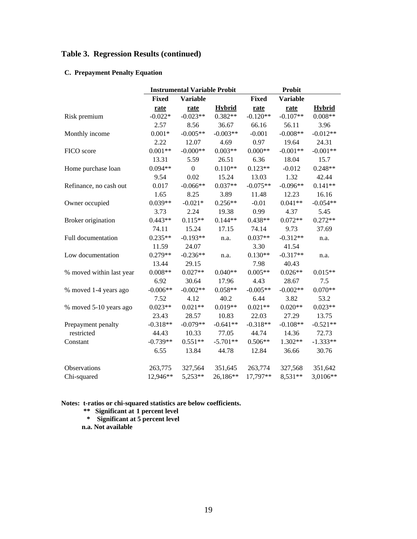## **Table 3. Regression Results (continued)**

## **C. Prepayment Penalty Equation**

|                          | <b>Instrumental Variable Probit</b> |                 | Probit        |              |                 |               |
|--------------------------|-------------------------------------|-----------------|---------------|--------------|-----------------|---------------|
|                          | <b>Fixed</b>                        | <b>Variable</b> |               | <b>Fixed</b> | <b>Variable</b> |               |
|                          | rate                                | rate            | <b>Hybrid</b> | rate         | rate            | <b>Hybrid</b> |
| Risk premium             | $-0.022*$                           | $-0.023**$      | $0.382**$     | $-0.120**$   | $-0.107**$      | $0.008**$     |
|                          | 2.57                                | 8.56            | 36.67         | 66.16        | 56.11           | 3.96          |
| Monthly income           | $0.001*$                            | $-0.005**$      | $-0.003**$    | $-0.001$     | $-0.008**$      | $-0.012**$    |
|                          | 2.22                                | 12.07           | 4.69          | 0.97         | 19.64           | 24.31         |
| FICO score               | $0.001**$                           | $-0.000**$      | $0.003**$     | $0.000**$    | $-0.001**$      | $-0.001**$    |
|                          | 13.31                               | 5.59            | 26.51         | 6.36         | 18.04           | 15.7          |
| Home purchase loan       | $0.094**$                           | $\Omega$        | $0.110**$     | $0.123**$    | $-0.012$        | $0.248**$     |
|                          | 9.54                                | 0.02            | 15.24         | 13.03        | 1.32            | 42.44         |
| Refinance, no cash out   | 0.017                               | $-0.066**$      | $0.037**$     | $-0.075**$   | $-0.096**$      | $0.141**$     |
|                          | 1.65                                | 8.25            | 3.89          | 11.48        | 12.23           | 16.16         |
| Owner occupied           | $0.039**$                           | $-0.021*$       | $0.256**$     | $-0.01$      | $0.041**$       | $-0.054**$    |
|                          | 3.73                                | 2.24            | 19.38         | 0.99         | 4.37            | 5.45          |
| Broker origination       | $0.443**$                           | $0.115**$       | $0.144**$     | $0.438**$    | $0.072**$       | $0.272**$     |
|                          | 74.11                               | 15.24           | 17.15         | 74.14        | 9.73            | 37.69         |
| Full documentation       | $0.235**$                           | $-0.193**$      | n.a.          | $0.037**$    | $-0.312**$      | n.a.          |
|                          | 11.59                               | 24.07           |               | 3.30         | 41.54           |               |
| Low documentation        | $0.279**$                           | $-0.236**$      | n.a.          | $0.130**$    | $-0.317**$      | n.a.          |
|                          | 13.44                               | 29.15           |               | 7.98         | 40.43           |               |
| % moved within last year | $0.008**$                           | $0.027**$       | $0.040**$     | $0.005**$    | $0.026**$       | $0.015**$     |
|                          | 6.92                                | 30.64           | 17.96         | 4.43         | 28.67           | 7.5           |
| % moved 1-4 years ago    | $-0.006**$                          | $-0.002**$      | $0.058**$     | $-0.005**$   | $-0.002**$      | $0.070**$     |
|                          | 7.52                                | 4.12            | 40.2          | 6.44         | 3.82            | 53.2          |
| % moved 5-10 years ago   | $0.023**$                           | $0.021**$       | $0.019**$     | $0.021**$    | $0.020**$       | $0.023**$     |
|                          | 23.43                               | 28.57           | 10.83         | 22.03        | 27.29           | 13.75         |
| Prepayment penalty       | $-0.318**$                          | $-0.079**$      | $-0.641**$    | $-0.318**$   | $-0.108**$      | $-0.521**$    |
| restricted               | 44.43                               | 10.33           | 77.05         | 44.74        | 14.36           | 72.73         |
| Constant                 | $-0.739**$                          | $0.551**$       | $-5.701**$    | $0.506**$    | 1.302**         | $-1.333**$    |
|                          | 6.55                                | 13.84           | 44.78         | 12.84        | 36.66           | 30.76         |
| Observations             | 263,775                             | 327,564         | 351,645       | 263,774      | 327,568         | 351,642       |
| Chi-squared              | 12,946**                            | 5,253**         | 26,186**      | 17,797**     | 8,531**         | 3,0106**      |

**Notes: t-ratios or chi-squared statistics are below coefficients.** 

- **\*\* Significant at 1 percent level**
- **\* Significant at 5 percent level**

 **n.a. Not available**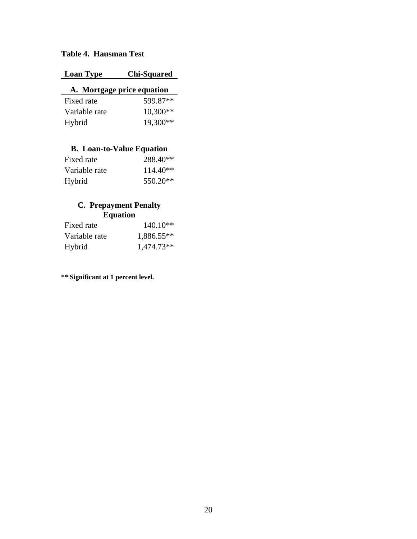## **Table 4. Hausman Test**

| <b>Loan Type</b>           | <b>Chi-Squared</b> |  |  |  |
|----------------------------|--------------------|--|--|--|
| A. Mortgage price equation |                    |  |  |  |
| Fixed rate                 | 599.87**           |  |  |  |
| Variable rate              | 10,300**           |  |  |  |
| Hybrid                     | 19.300**           |  |  |  |

## **B. Loan-to-Value Equation**

| Fixed rate    | 288.40**   |
|---------------|------------|
| Variable rate | $114.40**$ |
| Hybrid        | $550.20**$ |

## **C. Prepayment Penalty Equation**

| Fixed rate    | $140.10**$   |
|---------------|--------------|
| Variable rate | $1,886.55**$ |
| Hybrid        | 1,474.73**   |

**\*\* Significant at 1 percent level.**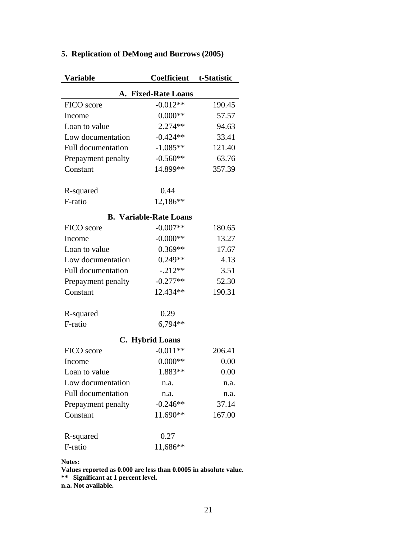| <b>Variable</b>           | <b>Coefficient</b>            | t-Statistic |
|---------------------------|-------------------------------|-------------|
|                           | A. Fixed-Rate Loans           |             |
| FICO score                | $-0.012**$                    | 190.45      |
| Income                    | $0.000**$                     | 57.57       |
| Loan to value             | 2.274**                       | 94.63       |
| Low documentation         | $-0.424**$                    | 33.41       |
| <b>Full documentation</b> | $-1.085**$                    | 121.40      |
| Prepayment penalty        | $-0.560**$                    | 63.76       |
| Constant                  | 14.899**                      | 357.39      |
| R-squared                 | 0.44                          |             |
| F-ratio                   | 12,186**                      |             |
|                           | <b>B. Variable-Rate Loans</b> |             |
| FICO score                | $-0.007**$                    | 180.65      |
| Income                    | $-0.000**$                    | 13.27       |
| Loan to value             | $0.369**$                     | 17.67       |
| Low documentation         | $0.249**$                     | 4.13        |
| <b>Full documentation</b> | $-.212**$                     | 3.51        |
| Prepayment penalty        | $-0.277**$                    | 52.30       |
| Constant                  | 12.434**                      | 190.31      |
| R-squared                 | 0.29                          |             |
| F-ratio                   | 6,794**                       |             |
|                           | C. Hybrid Loans               |             |
| FICO score                | $-0.011**$                    | 206.41      |
| Income                    | $0.000**$                     | 0.00        |
| Loan to value             | 1.883**                       | 0.00        |
| Low documentation         | n.a.                          | n.a.        |
| <b>Full documentation</b> | n.a.                          | n.a.        |
| Prepayment penalty        | $-0.246**$                    | 37.14       |
| Constant                  | 11.690**                      | 167.00      |
| R-squared                 | 0.27                          |             |
| F-ratio                   | 11,686**                      |             |
|                           |                               |             |

# **5. Replication of DeMong and Burrows (2005)**

## **Notes:**

**Values reported as 0.000 are less than 0.0005 in absolute value.** 

**\*\* Significant at 1 percent level.** 

**n.a. Not available.**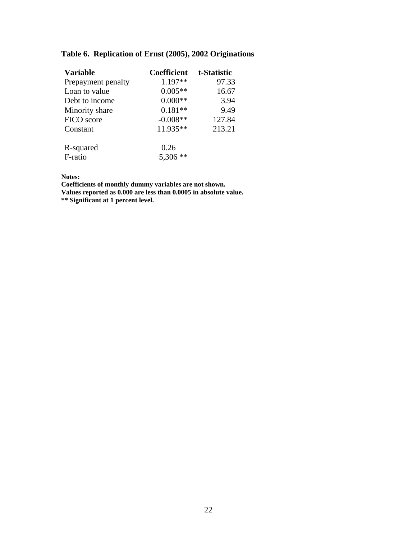## **Table 6. Replication of Ernst (2005), 2002 Originations**

| <b>Variable</b>    | <b>Coefficient</b> | t-Statistic |
|--------------------|--------------------|-------------|
| Prepayment penalty | 1.197**            | 97.33       |
| Loan to value      | $0.005**$          | 16.67       |
| Debt to income     | $0.000**$          | 3.94        |
| Minority share     | $0.181**$          | 9.49        |
| FICO score         | $-0.008**$         | 127.84      |
| Constant           | 11.935**           | 213.21      |
| R-squared          | 0.26               |             |
| F-ratio            | $5,306**$          |             |

**Notes:** 

**Coefficients of monthly dummy variables are not shown.** 

**Values reported as 0.000 are less than 0.0005 in absolute value.** 

**\*\* Significant at 1 percent level.**